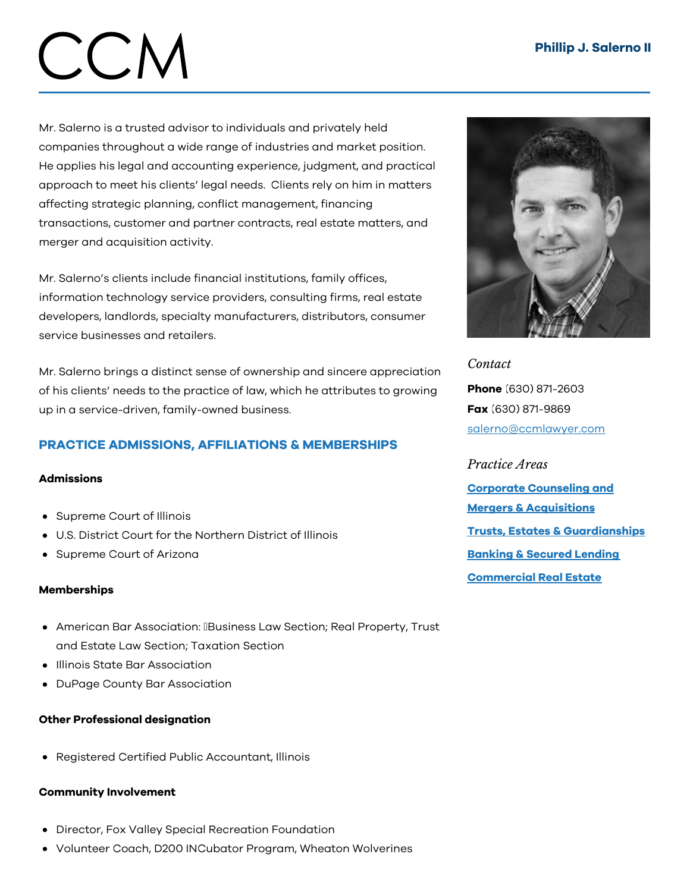# CCM

Mr. Salerno is a trusted advisor to individuals and privately held companies throughout a wide range of industries and market position. He applies his legal and accounting experience, judgment, and practical approach to meet his clients' legal needs. Clients rely on him in matters affecting strategic planning, conflict management, financing transactions, customer and partner contracts, real estate matters, and merger and acquisition activity.

Mr. Salerno's clients include financial institutions, family offices, information technology service providers, consulting firms, real estate developers, landlords, specialty manufacturers, distributors, consumer service businesses and retailers.

Mr. Salerno brings a distinct sense of ownership and sincere appreciation of his clients' needs to the practice of law, which he attributes to growing up in a service-driven, family-owned business.

# PRACTICE ADMISSIONS, AFFILIATIONS & MEMBERSHIPS

### Admissions

- Supreme Court of Illinois
- U.S. District Court for the Northern District of Illinois
- Supreme Court of Arizona

### Memberships

- American Bar Association: IBusiness Law Section; Real Property, Trust and Estate Law Section; Taxation Section
- Illinois State Bar Association
- DuPage County Bar Association

### Other Professional designation

Registered Certified Public Accountant, Illinois

### Community Involvement

- Director, Fox Valley Special Recreation Foundation
- Volunteer Coach, D200 INCubator Program, Wheaton Wolverines



*Contact* Phone (630) 871-2603 Fax (630) 871-9869 [salerno@ccmlawyer.com](mailto:salerno@ccmlawyer.com)

*Practice Areas* Corporate Counseling and Mergers & [Acquisitions](https://www.ccmlawyer.com/practice-areas/corporate-counseling-mergers-acquistions/) Trusts, Estates & [Guardianships](https://www.ccmlawyer.com/practice-areas/trusts-estates-guardianships/) [Banking](https://www.ccmlawyer.com/practice-areas/banking-secured-lending/) & Secured Lending [Commercial](https://www.ccmlawyer.com/practice-areas/commercial-real-estate/) Real Estate